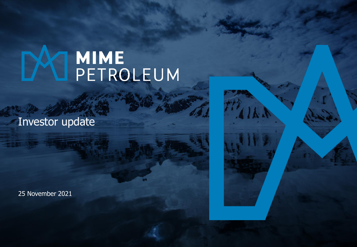# **MIME**<br>PETROLEUM

Investor update

25 November 2021

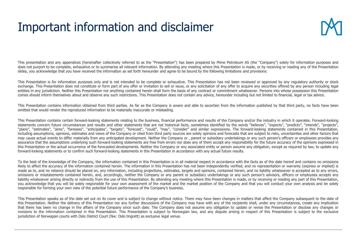## Important information and disclaimer



This presentation and any appendices (hereinafter collectively referred to as the "Presentation") has been prepared by Mime Petroleum AS (the "Company") solely for information purposes and does not purport to be complete, exhaustive or to summarise all relevant information. By attending any meeting where this Presentation is made, or by receiving or reading any of the Presentation slides, you acknowledge that you have received the information as set forth hereunder and agree to be bound by the following limitations and provisions:

This Presentation is for information purposes only and is not intended to be complete or exhaustive. This Presentation has not been reviewed or approved by any regulatory authority or stock exchange. This Presentation does not constitute or form part of any offer or invitation to sell or issue, or any solicitation of any offer to acquire any securities offered by any person including legal entities in any jurisdiction. Neither this Presentation nor anything contained herein shall form the basis of any contract or commitment whatsoever. Persons into whose possession this Presentation comes should inform themselves about and observe any such restrictions. This Presentation does not contain any advice, hereunder including but not limited to financial, legal or tax advice.

This Presentation contains information obtained from third parties. As far as the Company is aware and able to ascertain from the information published by that third party, no facts have been omitted that would render the reproduced information to be materially inaccurate or misleading.

This Presentation contains certain forward-looking statements relating to the business, financial performance and results of the Company and/or the industry in which it operates. Forward-looking statements concern future circumstances and results and other statements that are not historical facts, sometimes identified by the words "believes", "expects", "predicts", "intends", "projects", "projects", "plans", "estimates", "aims", "foresees", "anticipates", "targets", "forecast", "could", "may", "consider" and similar expressions. The forward-looking statements contained in this Presentation, including assumptions, opinions, estimates and views of the Company or cited from third party sources are solely opinions and forecasts that are subject to risks, uncertainties and other factors that may cause actual events to differ materially from any anticipated development. Neither the Company or, parent or subsidiary undertakings or any such person's officers or employees provides any assurance that the assumptions underlying such forward-looking statements are free from errors nor does any of them accept any responsibility for the future accuracy of the opinions expressed in this Presentation or the actual occurrence of the forecasted developments. Neither the Company or any associated entity or person assume any obligation, except as required by law, to update any forward-looking statements or to confirm such forward-looking statements in this Presentation in accordance with any actual future results.

To the best of the knowledge of the Company, the information contained in this Presentation is in all material respect in accordance with the facts as of the date hereof and contains no omissions likely to affect the accuracy of the information contained herein. The information in this Presentation has not been independently verified, and no representation or warranty (express or implied) is made as to, and no reliance should be placed on, any information, including projections, estimates, targets and opinions, contained herein, and no liability whatsoever is accepted as to any errors, omissions or misstatements contained herein, and, accordingly, neither the Company or any parent or subsidiary undertakings or any such person's advisors, officers or employees accepts any liability whatsoever arising directly or indirectly from the use of this Presentation. By attending any meeting where this Presentation is made, or by receiving or reading any part of this Presentation, you acknowledge that you will be solely responsible for your own assessment of the market and the market position of the Company and that you will conduct your own analysis and be solely responsible for forming your own view of the potential future performance of the Company's business.

This Presentation speaks as of the date set out on its cover and is subject to change without notice. There may have been changes in matters that affect the Company subsequent to the date of this Presentation. Neither the delivery of this Presentation nor any further discussions of the Company may have with any of the recipients shall, under any circumstances, create any implication that there has been no change in the affairs of the Company since such date. The Company does not assume any obligation to update or revise the Presentation or disclose any changes or revisions to the information contained in this Presentation. This Presentation is subject to Norwegian law, and any dispute arising in respect of this Presentation is subject to the exclusive jurisdiction of Norwegian courts with Oslo District Court (Nw: Oslo tingrett) as exclusive legal venue.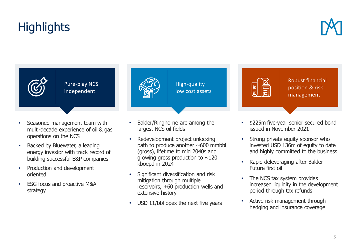## **Highlights**



Pure-play NCS independent

- Seasoned management team with multi-decade experience of oil & gas operations on the NCS
- Backed by Bluewater, a leading energy investor with track record of building successful E&P companies
- Production and development oriented
- ESG focus and proactive M&A strategy



- Balder/Ringhorne are among the largest NCS oil fields
- Redevelopment project unlocking path to produce another  $\sim 600$  mmbbl (gross), lifetime to mid 2040s and growing gross production to  $\sim$ 120 kboepd in 2024
- Significant diversification and risk mitigation through multiple reservoirs, +60 production wells and extensive history
- USD 11/bbl opex the next five years



Robust financial position & risk management

- \$225m five-year senior secured bond issued in November 2021
- Strong private equity sponsor who invested USD 136m of equity to date and highly committed to the business
- Rapid deleveraging after Balder Future first oil
- The NCS tax system provides increased liquidity in the development period through tax refunds
- Active risk management through hedging and insurance coverage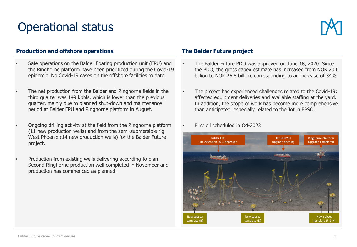## Operational status



### **Production and offshore operations The Balder Future project**

- Safe operations on the Balder floating production unit (FPU) and the Ringhorne platform have been prioritized during the Covid-19 epidemic. No Covid-19 cases on the offshore facilities to date.
- The net production from the Balder and Ringhorne fields in the third quarter was 149 kbbls, which is lower than the previous quarter, mainly due to planned shut-down and maintenance period at Balder FPU and Ringhorne platform in August.
- Ongoing drilling activity at the field from the Ringhorne platform (11 new production wells) and from the semi-submersible rig West Phoenix (14 new production wells) for the Balder Future project.
- Production from existing wells delivering according to plan. Second Ringhorne production well completed in November and production has commenced as planned.

- The Balder Future PDO was approved on June 18, 2020. Since the PDO, the gross capex estimate has increased from NOK 20.0 billion to NOK 26.8 billion, corresponding to an increase of 34%.
- The project has experienced challenges related to the Covid-19; affected equipment deliveries and available staffing at the yard. In addition, the scope of work has become more comprehensive than anticipated, especially related to the Jotun FPSO.
- First oil scheduled in Q4-2023

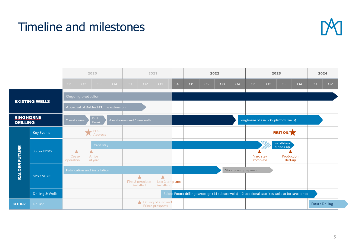## Timeline and milestones



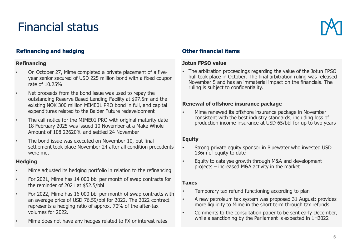## Financial status



## **Refinancing and hedging Other financial items**

#### **Refinancing**

- On October 27, Mime completed a private placement of a fiveyear senior secured of USD 225 million bond with a fixed coupon rate of 10.25%
- Net proceeds from the bond issue was used to repay the outstanding Reserve Based Lending Facility at \$97.5m and the existing NOK 300 million MIME01 PRO bond in full, and capital expenditures related to the Balder Future redevelopment
- The call notice for the MIME01 PRO with original maturity date 18 February 2025 was issued 10 November at a Make Whole Amount of 108.22620% and settled 24 November
- The bond issue was executed on November 10, but final settlement took place November 24 after all condition precedents were met

#### **Hedging**

- Mime adjusted its hedging portfolio in relation to the refinancing
- For 2021, Mime has 14 000 bbl per month of swap contracts for the reminder of 2021 at \$52.5/bbl
- For 2022, Mime has 16 000 bbl per month of swap contracts with an average price of USD 76.59/bbl for 2022. The 2022 contract represents a hedging ratio of approx. 70% of the after-tax volumes for 2022.
- Mime does not have any hedges related to FX or interest rates

#### **Jotun FPSO value**

• The arbitration proceedings regarding the value of the Jotun FPSO hull took place in October. The final arbitration ruling was released November 5 and has an immaterial impact on the financials. The ruling is subject to confidentiality.

#### **Renewal of offshore insurance package**

• Mime renewed its offshore insurance package in November consistent with the best industry standards, including loss of production income insurance at USD 65/bbl for up to two years

#### **Equity**

- Strong private equity sponsor in Bluewater who invested USD 136m of equity to date
- Equity to catalyse growth through M&A and development projects – increased M&A activity in the market

#### **Taxes**

- Temporary tax refund functioning according to plan
- A new petroleum tax system was proposed 31 August; provides more liquidity to Mime in the short term through tax refunds
- Comments to the consultation paper to be sent early December, while a sanctioning by the Parliament is expected in 1H2022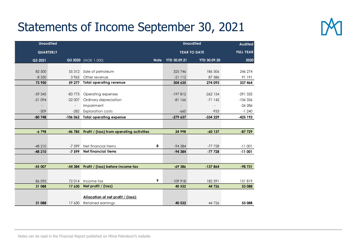## Statements of Income September 30, 2021



|           | <b>Unaudited</b>         |                                           |             | <b>Unaudited</b>    | <b>Audited</b>      |            |
|-----------|--------------------------|-------------------------------------------|-------------|---------------------|---------------------|------------|
| QUARTERLY |                          |                                           |             | YEAR TO DATE        | <b>FULL YEAR</b>    |            |
| Q3 2021   |                          | Q3 2020 (NOK 1 000)                       | <b>Note</b> | <b>YTD 30.09.21</b> | <b>YTD 30.09.20</b> | 2020       |
|           |                          |                                           |             |                     |                     |            |
| 82 500    |                          | 55 312 Sale of petroleum                  |             | 325 746             | 186 506             | 246 274    |
| $-8,550$  | 3965                     | Other revenue                             |             | $-21$ 112           | 87 586              | 91 191     |
| 73 950    | 59 277                   | <b>Total operating revenue</b>            | 304 635     | 274 093             | 337 464             |            |
|           |                          |                                           |             |                     |                     |            |
| $-59345$  | $-83773$                 | Operating expenses                        |             | $-197812$           | $-262$ 154          | $-291332$  |
| $-21094$  | $-22007$                 | Ordinary depreciation                     |             | $-81166$            | $-71142$            | $-106336$  |
|           | $\overline{\phantom{a}}$ | Impairment                                |             |                     |                     | $-26286$   |
| $-309$    | $-282$                   | <b>Exploration costs</b>                  |             | $-660$              | $-933$              | $-1240$    |
| $-80748$  | $-106062$                | <b>Total operating expense</b>            |             | $-279637$           | $-334229$           | $-425$ 193 |
|           |                          |                                           |             |                     |                     |            |
| $-6798$   | -46 785                  | Profit / (loss) from operating activities |             | 24 998              | $-60$ 137           | $-87729$   |
|           |                          |                                           |             |                     |                     |            |
|           |                          |                                           |             |                     |                     |            |
| $-48210$  | $-7,599$                 | Net financial items                       | 8           | $-94384$            | $-77728$            | $-11001$   |
| $-48210$  | $-7599$                  | <b>Net financial items</b>                |             | $-94384$            | $-77728$            | $-11001$   |
|           |                          |                                           |             |                     |                     |            |
| $-55007$  | $-54384$                 | Profit / (loss) before income tax         |             | $-69386$            | $-137864$           | $-98731$   |
|           |                          |                                           |             |                     |                     |            |
|           |                          |                                           |             |                     |                     |            |
| 86 095    | 72014                    | Income tax                                | 9           | 109 918             | 182 591             | 151819     |
| 31 088    | 17 630                   | Net profit / (loss)                       |             | 40 532              | 44 726              | 53 088     |
|           |                          | Allocation of net profit / (loss):        |             |                     |                     |            |
| 31 088    | 17 630                   | Retained earnings                         |             | 40 532              | 44 7 26             | 53 088     |
|           |                          |                                           |             |                     |                     |            |